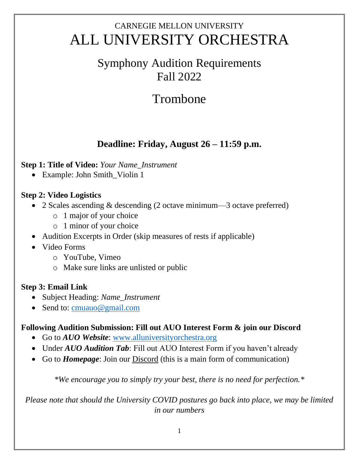## CARNEGIE MELLON UNIVERSITY ALL UNIVERSITY ORCHESTRA

### Symphony Audition Requirements Fall 2022

# Trombone

### **Deadline: Friday, August 26 – 11:59 p.m.**

#### **Step 1: Title of Video:** *Your Name\_Instrument*

• Example: John Smith\_Violin 1

#### **Step 2: Video Logistics**

- 2 Scales ascending & descending (2 octave minimum—3 octave preferred)
	- o 1 major of your choice
	- o 1 minor of your choice
- Audition Excerpts in Order (skip measures of rests if applicable)
- Video Forms
	- o YouTube, Vimeo
	- o Make sure links are unlisted or public

#### **Step 3: Email Link**

- Subject Heading: *Name\_Instrument*
- Send to: [cmuauo@gmail.com](mailto:cmuauo@gmail.com)

#### **Following Audition Submission: Fill out AUO Interest Form & join our Discord**

- Go to *AUO Website*: [www.alluniversityorchestra.org](http://www.alluniversityorchestra.org/)
- Under *AUO Audition Tab*: Fill out AUO Interest Form if you haven't already
- Go to *Homepage*: Join our Discord (this is a main form of communication)

*\*We encourage you to simply try your best, there is no need for perfection.\**

*Please note that should the University COVID postures go back into place, we may be limited in our numbers*